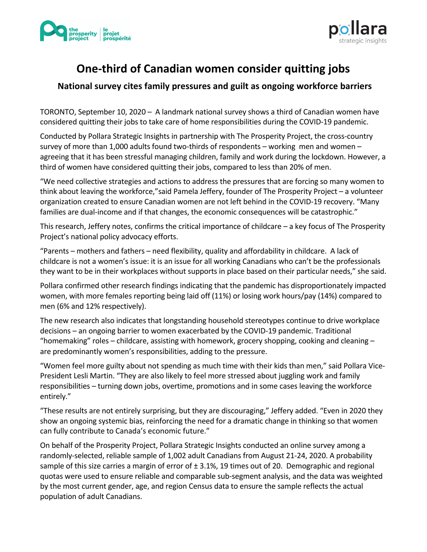



## **One-third of Canadian women consider quitting jobs**

## **National survey cites family pressures and guilt as ongoing workforce barriers**

TORONTO, September 10, 2020 – A landmark national survey shows a third of Canadian women have considered quitting their jobs to take care of home responsibilities during the COVID-19 pandemic.

Conducted by Pollara Strategic Insights in partnership with The Prosperity Project, the cross-country survey of more than 1,000 adults found two-thirds of respondents – working men and women – agreeing that it has been stressful managing children, family and work during the lockdown. However, a third of women have considered quitting their jobs, compared to less than 20% of men.

"We need collective strategies and actions to address the pressures that are forcing so many women to think about leaving the workforce,"said Pamela Jeffery, founder of The Prosperity Project – a volunteer organization created to ensure Canadian women are not left behind in the COVID-19 recovery. "Many families are dual-income and if that changes, the economic consequences will be catastrophic."

This research, Jeffery notes, confirms the critical importance of childcare – a key focus of The Prosperity Project's national policy advocacy efforts.

"Parents – mothers and fathers – need flexibility, quality and affordability in childcare. A lack of childcare is not a women's issue: it is an issue for all working Canadians who can't be the professionals they want to be in their workplaces without supports in place based on their particular needs," she said.

Pollara confirmed other research findings indicating that the pandemic has disproportionately impacted women, with more females reporting being laid off (11%) or losing work hours/pay (14%) compared to men (6% and 12% respectively).

The new research also indicates that longstanding household stereotypes continue to drive workplace decisions – an ongoing barrier to women exacerbated by the COVID-19 pandemic. Traditional "homemaking" roles – childcare, assisting with homework, grocery shopping, cooking and cleaning – are predominantly women's responsibilities, adding to the pressure.

"Women feel more guilty about not spending as much time with their kids than men," said Pollara Vice-President Lesli Martin. "They are also likely to feel more stressed about juggling work and family responsibilities – turning down jobs, overtime, promotions and in some cases leaving the workforce entirely."

"These results are not entirely surprising, but they are discouraging," Jeffery added. "Even in 2020 they show an ongoing systemic bias, reinforcing the need for a dramatic change in thinking so that women can fully contribute to Canada's economic future."

On behalf of the Prosperity Project, Pollara Strategic Insights conducted an online survey among a randomly-selected, reliable sample of 1,002 adult Canadians from August 21-24, 2020. A probability sample of this size carries a margin of error of  $\pm$  3.1%, 19 times out of 20. Demographic and regional quotas were used to ensure reliable and comparable sub-segment analysis, and the data was weighted by the most current gender, age, and region Census data to ensure the sample reflects the actual population of adult Canadians.